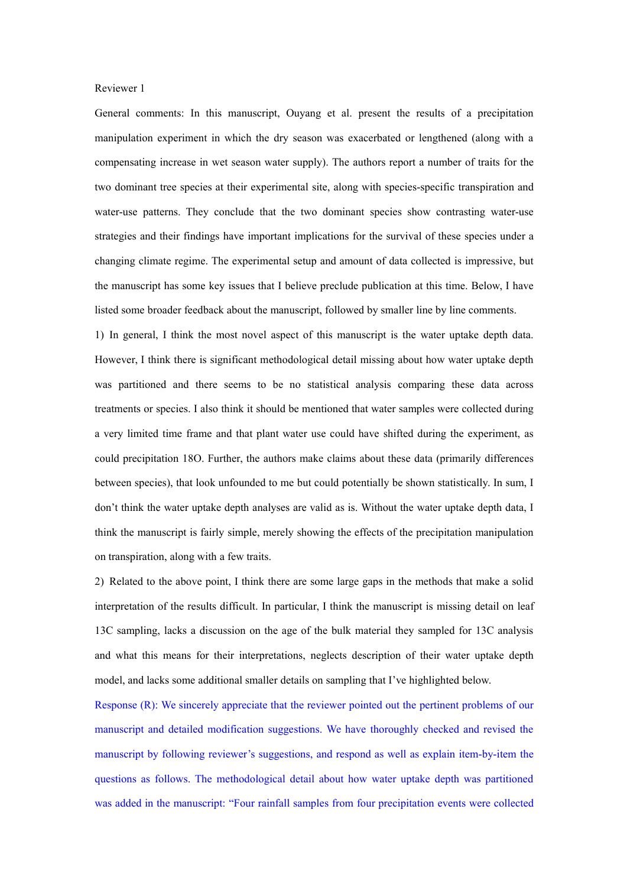## Reviewer 1

General comments: In this manuscript, Ouyang et al. present the results of a precipitation manipulation experiment in which the dry season was exacerbated or lengthened (along with a compensating increase in wet season water supply). The authors report a number of traits for the two dominant tree species at their experimental site, along with species-specific transpiration and water-use patterns. They conclude that the two dominant species show contrasting water-use strategies and their findings have important implications for the survival of these species under a changing climate regime. The experimental setup and amount of data collected is impressive, but the manuscript has some key issues that I believe preclude publication at this time. Below, I have listed some broader feedback about the manuscript, followed by smaller line by line comments.

1) In general, I think the most novel aspect of this manuscript is the water uptake depth data. However, I think there issignificant methodological detail missing about how water uptake depth was partitioned and there seems to be no statistical analysis comparing these data across treatments or species. I also think it should be mentioned that water samples were collected during a very limited time frame and that plantwater use could have shifted during the experiment, as could precipitation 18O. Further, the authors make claims about these data (primarily differences between species), that look unfounded to me but could potentially be shown statistically. In sum, I don't think the water uptake depth analyses are valid as is. Without the water uptake depth data, I think the manuscript is fairly simple, merely showing the effects ofthe precipitation manipulation on transpiration, along with a few traits.

2) Related to the above point, I think there are some large gaps in the methods that make a solid interpretation of the results difficult. In particular, I think the manuscript is missing detail on leaf 13C sampling, lacks a discussion on the age of the bulk material they sampled for 13C analysis and what this means for their interpretations, neglects description of their water uptake depth model, and lacks some additional smaller details on sampling that I've highlighted below.

Response (R): We sincerely appreciate that the reviewer pointed out the pertinent problems of our manuscript and detailed modification suggestions. We have thoroughly checked and revised the manuscript by following reviewer's suggestions, and respond as well as explain item-by-item the questions as follows. The methodological detail about how water uptake depth was partitioned was added in the manuscript: "Four rainfall samples from four precipitation events were collected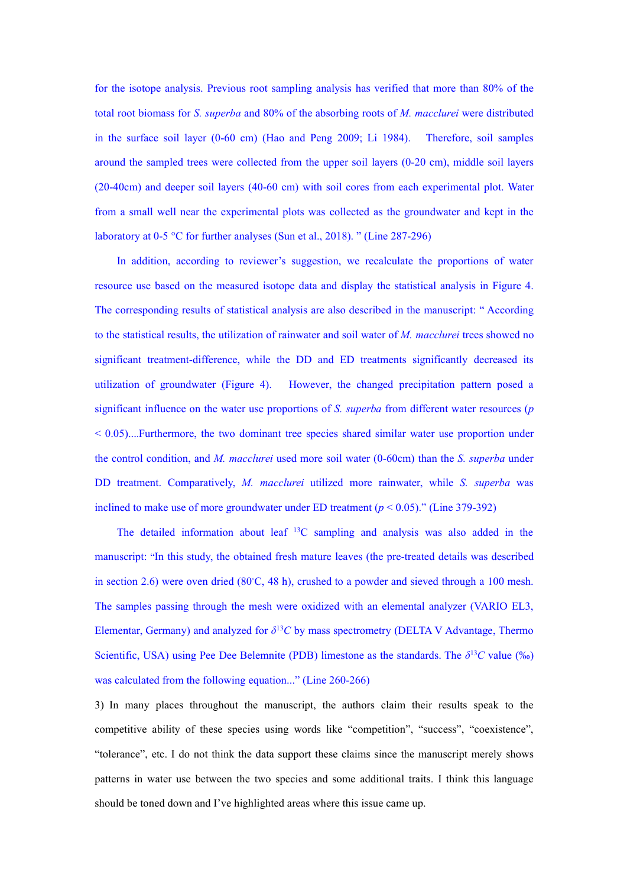for the isotope analysis. Previous root sampling analysis has verified that more than 80% of the total root biomass for *S. superba* and 80% of the absorbing roots of *M. macclurei* were distributed in the surface soil layer (0-60 cm) (Hao and Peng 2009; Li 1984). Therefore, soil samples around the sampled trees were collected from the upper soil layers (0-20 cm), middle soil layers (20-40cm) and deeper soil layers (40-60 cm) with soil cores from each experimental plot. Water from a small well near the experimental plots was collected as the groundwater and kept in the laboratory at 0-5 °C for further analyses (Sun et al., 2018). " (Line 287-296)

In addition, according to reviewer's suggestion, we recalculate the proportions of water resource use based on the measured isotope data and display the statistical analysis in Figure 4. The corresponding results of statistical analysis are also described in the manuscript: " According to the statistical results, the utilization of rainwater and soil water of *M. macclurei* trees showed no significant treatment-difference, while the DD and ED treatments significantly decreased its utilization of groundwater (Figure 4). However, the changed precipitation pattern posed a significant influence on the water use proportions of *S. superba* from different water resources (*p*  $< 0.05$ ....Furthermore, the two dominant tree species shared similar water use proportion under the control condition, and *M. macclurei* used more soil water (0-60cm) than the *S. superba* under DD treatment. Comparatively, *M. macclurei* utilized more rainwater, while *S. superba* was inclined to make use of more groundwater under ED treatment  $(p < 0.05)$ ." (Line 379-392)

The detailed information about leaf <sup>13</sup>C sampling and analysis was also added in the manuscript: "In this study, the obtained fresh mature leaves (the pre-treated details was described in section 2.6) were oven dried (80°C, 48 h), crushed to a powder and sieved through a 100 mesh. The samples passing through the mesh were oxidized with an elemental analyzer (VARIO EL3, Elementar, Germany) and analyzed for  $\delta^{13}C$  by mass spectrometry (DELTA V Advantage, Thermo Scientific, USA) using Pee Dee Belemnite (PDB) limestone as the standards. The  $\delta^{13}C$  value (‰) was calculated from the following equation..." (Line 260-266)

3) In many places throughout the manuscript, the authors claim their results speak to the competitive ability of these species using words like "competition", "success", "coexistence", "tolerance", etc. I do not think the data support these claims since the manuscript merely shows patterns in water use between the two species and some additional traits. I think this language should be toned down and I've highlighted areas where this issue came up.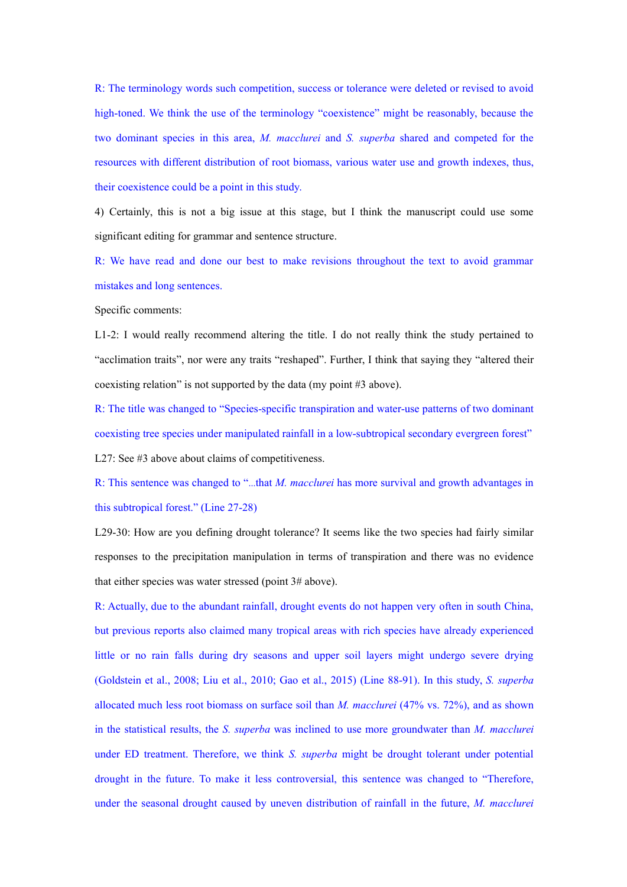R: The terminology words such competition, success ortolerance were deleted or revised to avoid high-toned. We think the use of the terminology "coexistence" might be reasonably, because the two dominant species in this area, *M. macclurei* and *S. superba* shared and competed for the resources with different distribution of root biomass, various water use and growth indexes, thus, their coexistence could be a point in this study.

4) Certainly, this is not a big issue at this stage, but I think the manuscript could use some significant editing for grammar and sentence structure.

R: We have read and done our best to make revisions throughout the text to avoid grammar mistakes and long sentences.

Specific comments:

L1-2: I would really recommend altering the title. I do not really think the study pertained to "acclimation traits", nor were any traits "reshaped". Further, I think that saying they "altered their coexisting relation" is not supported by the data (my point #3 above).

R: The title was changed to "Species-specific transpiration and water-use patterns of two dominant coexisting tree species under manipulated rainfall in a low-subtropical secondary evergreen forest" L27: See  $#3$  above about claims of competitiveness.

R: This sentence was changed to "...that *M. macclurei* has more survival and growth advantages in this subtropical forest." (Line 27-28)

L29-30: How are you defining drought tolerance? It seems like the two species had fairly similar responses to the precipitation manipulation in terms of transpiration and there was no evidence that either species was water stressed (point 3# above).

R: Actually, due to the abundant rainfall, drought events do not happen very often in south China, but previous reports also claimed many tropical areas with rich species have already experienced little or no rain falls during dry seasons and upper soil layers might undergo severe drying (Goldstein et al., 2008; Liu et al., 2010; Gao et al., 2015) (Line 88-91). In this study, *S. superba* allocated much less root biomass on surface soil than *M. macclurei* (47% vs. 72%), and as shown in the statistical results, the *S. superba* was inclined to use more groundwater than *M. macclurei* under ED treatment. Therefore, we think *S. superba* might be drought tolerant under potential drought in the future. To make it less controversial, this sentence was changed to "Therefore, under the seasonal drought caused by uneven distribution of rainfall in the future, *M. macclurei*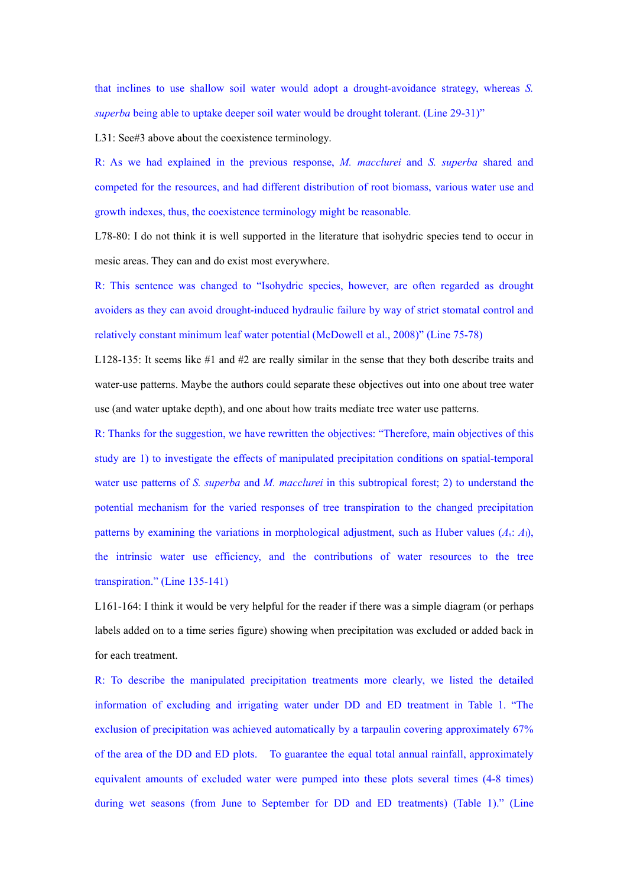that inclines to use shallow soil water would adopt a drought-avoidance strategy, whereas *S. superba* being able to uptake deeper soil water would be drought tolerant. (Line 29-31)"

L31: See#3 above about the coexistence terminology.

R: As we had explained in the previous response, *M. macclurei* and *S. superba* shared and competed for the resources, and had different distribution of root biomass, various water use and growth indexes, thus, the coexistence terminology might be reasonable.

L78-80: I do not think it is well supported in the literature that isohydric species tend to occur in mesic areas. They can and do exist most everywhere.

R: This sentence was changed to "Isohydric species, however, are often regarded as drought avoiders as they can avoid drought-induced hydraulic failure by way of strict stomatal control and relatively constant minimum leaf water potential (McDowell et al., 2008)" (Line 75-78)

L128-135: It seems like #1 and #2 are really similar in the sense that they both describe traits and water-use patterns. Maybe the authors could separate these objectives out into one about tree water use (and water uptake depth), and one about how traits mediate tree water use patterns.

R: Thanks for the suggestion, we have rewritten the objectives: "Therefore, main objectives of this study are 1) to investigate the effects of manipulated precipitation conditions on spatial-temporal water use patterns of *S. superba* and *M. macclurei* in this subtropical forest; 2) to understand the potential mechanism for the varied responses of tree transpiration to the changed precipitation patterns by examining the variations in morphological adjustment, such as Huber values  $(A_s: A_l)$ , the intrinsic water use efficiency, and the contributions of water resources to the tree transpiration." (Line 135-141)

L161-164: I think it would be very helpful for the reader if there was a simple diagram (or perhaps labels added on to a time series figure) showing when precipitation was excluded or added back in for each treatment.

R: To describe the manipulated precipitation treatments more clearly, we listed the detailed information of excluding and irrigating water under DD and ED treatment in Table 1. "The exclusion of precipitation was achieved automatically by a tarpaulin covering approximately 67% of the area of the DD and ED plots. To guarantee the equal total annual rainfall, approximately equivalent amounts of excluded water were pumped into these plots several times (4-8 times) during wet seasons (from June to September for DD and ED treatments) (Table 1)." (Line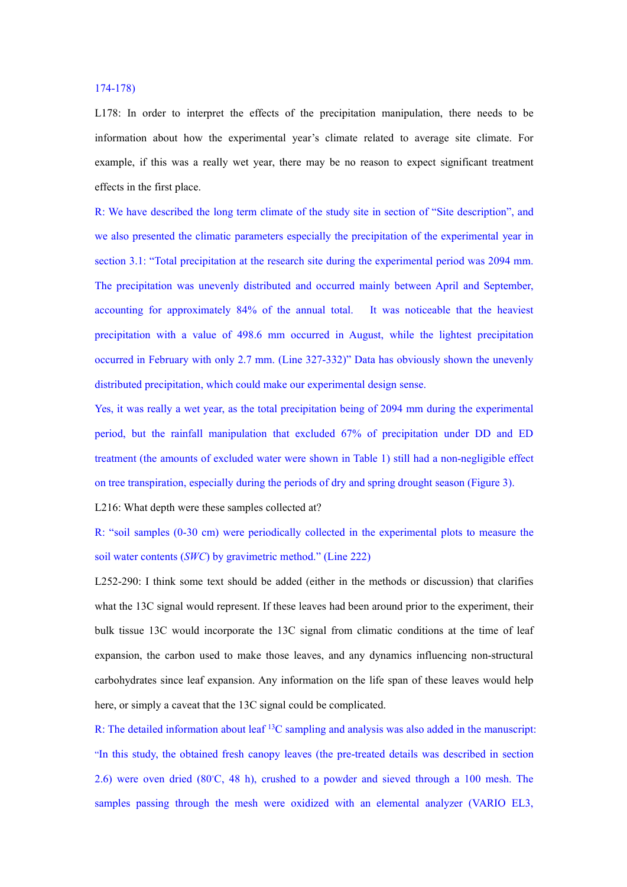## 174-178)

L178: In order to interpret the effects of the precipitation manipulation, there needs to be information about how the experimental year's climate related to average site climate. For example, if this was a really wet year, there may be no reason to expect significant treatment effects in the first place.

R: We have described the long term climate of the study site in section of "Site description", and we also presented the climatic parameters especially the precipitation of the experimental year in section 3.1: "Total precipitation at the research site during the experimental period was 2094 mm. The precipitation was unevenly distributed and occurred mainly between April and September, accounting for approximately 84% of the annual total. It was noticeable that the heaviest precipitation with a value of 498.6 mm occurred in August, while the lightest precipitation occurred in February with only 2.7 mm. (Line 327-332)" Data has obviously shown the unevenly distributed precipitation, which could make our experimental design sense.

Yes, it was really a wet year, as the total precipitation being of 2094 mm during the experimental period, but the rainfall manipulation that excluded 67% of precipitation under DD and ED treatment (the amounts of excluded water were shown in Table 1) still had a non-negligible effect on tree transpiration, especially during the periods of dry and spring drought season (Figure 3).

L216: What depth were these samples collected at?

R: "soil samples (0-30 cm) were periodically collected in the experimental plots to measure the soil water contents (*SWC*) by gravimetric method." (Line 222)

L252-290: I think some text should be added (either in the methods or discussion) that clarifies what the 13C signal would represent. If these leaves had been around prior to the experiment, their bulk tissue 13C would incorporate the 13C signal from climatic conditions at the time of leaf expansion, the carbon used to make those leaves, and any dynamics influencing non-structural carbohydrates since leaf expansion. Any information on the life span of these leaves would help here, or simply a caveat that the 13C signal could be complicated.

R: The detailed information about leaf <sup>13</sup>C sampling and analysis was also added in the manuscript: "In this study, the obtained fresh canopy leaves (the pre-treated details was described in section 2.6) were oven dried (80℃, 48 h), crushed to a powder and sieved through a 100 mesh. The samples passing through the mesh were oxidized with an elemental analyzer (VARIO EL3,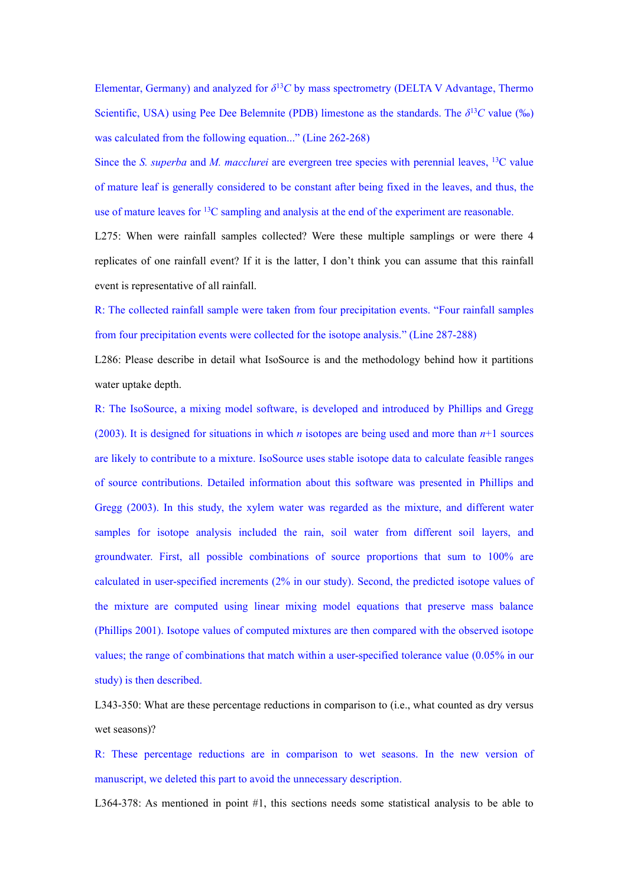Elementar, Germany) and analyzed for  $\delta^{13}C$  by mass spectrometry (DELTA V Advantage, Thermo Scientific, USA) using Pee Dee Belemnite (PDB) limestone as the standards. The  $\delta^{13}C$  value (‰) was calculated from the following equation..." (Line 262-268)

Since the *S. superba* and *M. macclurei* are evergreen tree species with perennial leaves, <sup>13</sup>C value of mature leaf is generally considered to be constant after being fixed in the leaves, and thus, the use of mature leaves for <sup>13</sup>C sampling and analysis at the end of the experiment are reasonable.

L275: When were rainfall samples collected? Were these multiple samplings or were there 4 replicates of one rainfall event? If it is the latter, I don't think you can assume that this rainfall event is representative of all rainfall.

R: The collected rainfall sample were taken from four precipitation events. "Four rainfall samples from four precipitation events were collected for the isotope analysis." (Line 287-288)

L286: Please describe in detail what IsoSource is and the methodology behind how it partitions water uptake depth.

R: The IsoSource, a mixing model software, is developed and introduced by Phillips and Gregg (2003). It is designed for situations in which *n* isotopes are being used and more than  $n+1$  sources are likely to contribute to a mixture. IsoSource uses stable isotope data to calculate feasible ranges of source contributions. Detailed information about this software was presented in Phillips and Gregg (2003). In this study, the xylem water was regarded as the mixture, and different water samples for isotope analysis included the rain, soil water from different soil layers, and groundwater. First, all possible combinations of source proportions that sum to 100% are calculated in user-specified increments (2% in our study). Second, the predicted isotope values of the mixture are computed using linear mixing model equations that preserve mass balance (Phillips 2001). Isotope values of computed mixtures are then compared with the observed isotope values; the range of combinations that match within a user-specified tolerance value (0.05% in our study) is then described.

L343-350: What are these percentage reductions in comparison to (i.e., what counted as dry versus wet seasons)?

R: These percentage reductions are in comparison to wet seasons. In the new version of manuscript, we deleted this part to avoid the unnecessary description.

L364-378: As mentioned in point #1, this sections needs some statistical analysis to be able to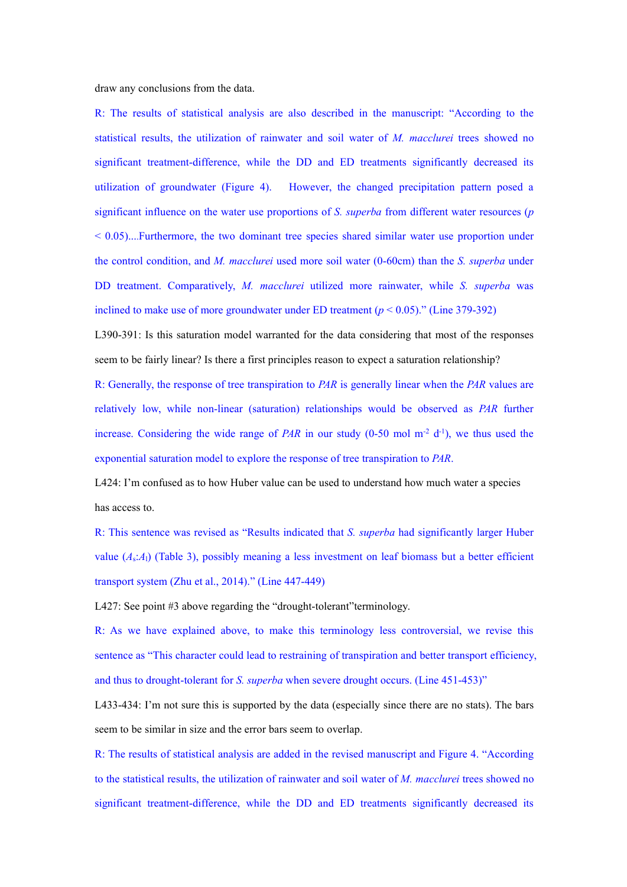draw any conclusions from the data.

R: The results of statistical analysis are also described in the manuscript: "According to the statistical results, the utilization of rainwater and soil water of *M.macclurei* trees showed no significant treatment-difference, while the DD and ED treatments significantly decreased its utilization of groundwater (Figure 4). However, the changed precipitation pattern posed a significant influence on the water use proportions of *S. superba* from different water resources (*p*  $< 0.05$ ....Furthermore, the two dominant tree species shared similar water use proportion under the control condition, and *M. macclurei* used more soil water (0-60cm) than the *S. superba* under DD treatment. Comparatively, *M. macclurei* utilized more rainwater, while *S. superba* was inclined to make use of more groundwater under ED treatment  $(p < 0.05)$ ." (Line 379-392)

L390-391: Is this saturation model warranted for the data considering that most of the responses seem to be fairly linear? Is there a first principles reason to expect a saturation relationship?

R: Generally, the response of tree transpiration to *PAR* is generally linear when the *PAR* values are relatively low, while non-linear (saturation) relationships would be observed as *PAR* further increase. Considering the wide range of *PAR* in our study  $(0-50 \text{ mol m}^2 \text{ d}^1)$ , we thus used the exponential saturation model to explore the response of tree transpiration to *PAR*.

L424: I'm confused as to how Huber value can be used to understand how much water a species has access to.

R: This sentence was revised as "Results indicated that *S. superba* had significantly larger Huber value (*A*s:*A*l) (Table 3), possibly meaning a less investment on leaf biomass but a better efficient transport system (Zhu et al., 2014)." (Line 447-449)

L427: See point #3 above regarding the "drought-tolerant" terminology.

R: As we have explained above, to make this terminology less controversial, we revise this sentence as "This character could lead to restraining of transpiration and better transport efficiency, and thus to drought-tolerant for *S. superba* when severe drought occurs. (Line 451-453)"

L433-434: I'm not sure this is supported by the data (especially since there are no stats). The bars seem to be similar in size and the error bars seem to overlap.

R: The results of statistical analysis are added in the revised manuscript and Figure 4. "According to the statistical results, the utilization of rainwater and soil water of *M. macclurei* trees showed no significant treatment-difference, while the DD and ED treatments significantly decreased its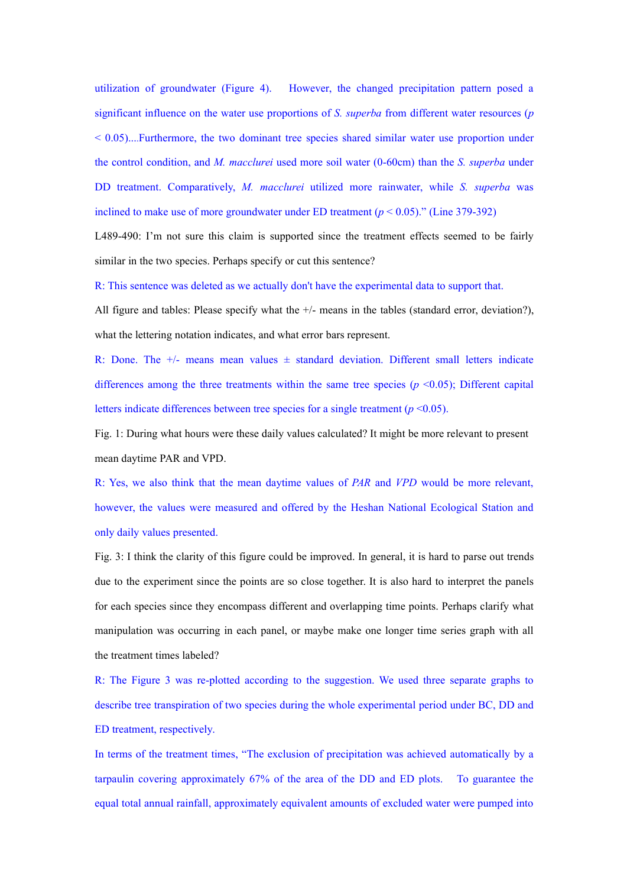utilization of groundwater (Figure 4). However, the changed precipitation pattern posed a significant influence on the water use proportions of *S. superba* from different water resources (*p*  $< 0.05$ )....Furthermore, the two dominant tree species shared similar water use proportion under the control condition, and *M. macclurei* used more soil water (0-60cm) than the *S. superba* under DD treatment. Comparatively, *M. macclurei* utilized more rainwater, while *S. superba* was inclined to make use of more groundwater under ED treatment  $(p < 0.05)$ ." (Line 379-392)

L489-490: I'm not sure this claim is supported since the treatment effects seemed to be fairly similar in the two species. Perhaps specify or cut this sentence?

R: This sentence was deleted as we actually don't have the experimental data to support that.

All figure and tables: Please specify what the  $+/-$  means in the tables (standard error, deviation?), what the lettering notation indicates, and what error bars represent.

R: Done. The  $+/-$  means mean values  $\pm$  standard deviation. Different small letters indicate differences among the three treatments within the same tree species  $(p \le 0.05)$ ; Different capital letters indicate differences between tree species for a single treatment  $(p \le 0.05)$ .

Fig. 1: During what hours were these daily values calculated? It might be more relevant to present mean daytime PAR and VPD.

R: Yes, we also think that the mean daytime values of *PAR* and *VPD* would be more relevant, however, the values were measured and offered by the Heshan National Ecological Station and only daily values presented.

Fig. 3: I think the clarity of this figure could be improved. In general, it is hard to parse out trends due to the experiment since the points are so close together. It is also hard to interpret the panels for each species since they encompass different and overlapping time points. Perhaps clarify what manipulation was occurring in each panel, or maybe make one longer time series graph with all the treatment times labeled?

R: The Figure 3 was re-plotted according to the suggestion. We used three separate graphs to describe tree transpiration of two species during the whole experimental period under BC, DD and ED treatment, respectively.

In terms of the treatment times, "The exclusion of precipitation was achieved automatically by a tarpaulin covering approximately 67% of the area of the DD and ED plots. To guarantee the equal total annual rainfall, approximately equivalent amounts of excluded water were pumped into